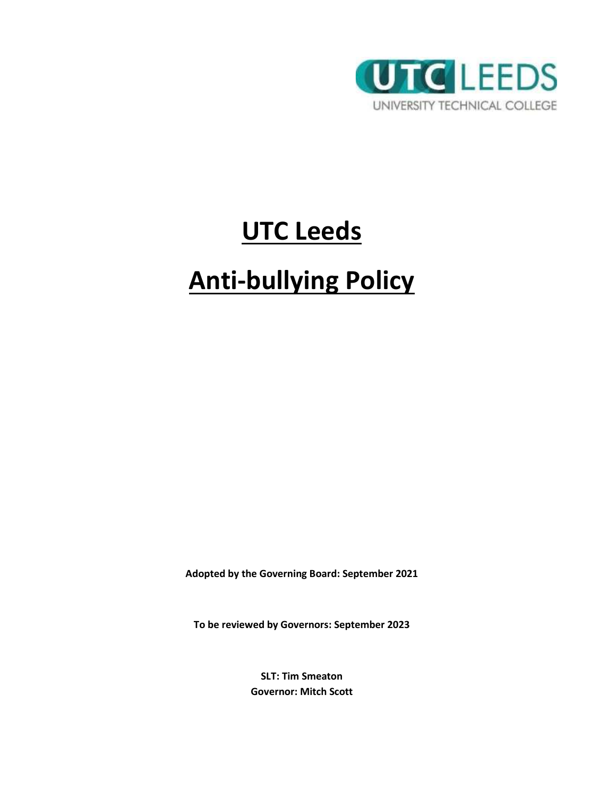

# **UTC Leeds**

# **Anti-bullying Policy**

**Adopted by the Governing Board: September 2021**

**To be reviewed by Governors: September 2023**

**SLT: Tim Smeaton Governor: Mitch Scott**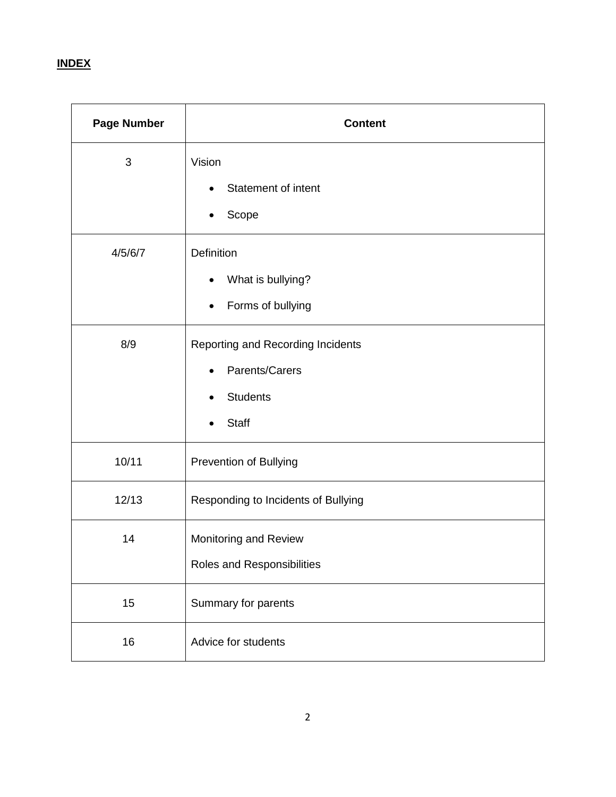# **INDEX**

| <b>Page Number</b> | <b>Content</b>                                                                         |  |
|--------------------|----------------------------------------------------------------------------------------|--|
| 3                  | Vision<br>Statement of intent<br>Scope                                                 |  |
| 4/5/6/7            | Definition<br>What is bullying?<br>٠<br>Forms of bullying<br>$\bullet$                 |  |
| 8/9                | Reporting and Recording Incidents<br>Parents/Carers<br><b>Students</b><br><b>Staff</b> |  |
| 10/11              | Prevention of Bullying                                                                 |  |
| 12/13              | Responding to Incidents of Bullying                                                    |  |
| 14                 | Monitoring and Review<br>Roles and Responsibilities                                    |  |
| 15                 | Summary for parents                                                                    |  |
| 16                 | Advice for students                                                                    |  |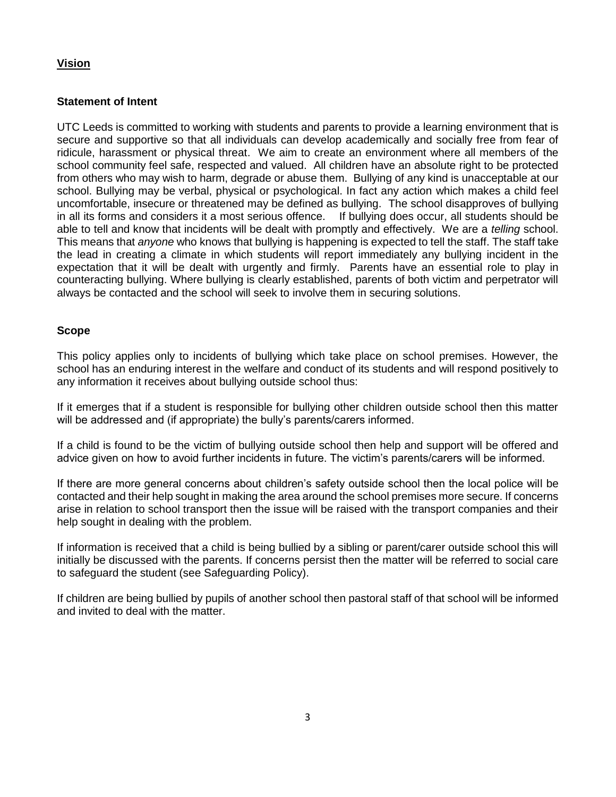# **Vision**

# **Statement of Intent**

UTC Leeds is committed to working with students and parents to provide a learning environment that is secure and supportive so that all individuals can develop academically and socially free from fear of ridicule, harassment or physical threat. We aim to create an environment where all members of the school community feel safe, respected and valued. All children have an absolute right to be protected from others who may wish to harm, degrade or abuse them. Bullying of any kind is unacceptable at our school. Bullying may be verbal, physical or psychological. In fact any action which makes a child feel uncomfortable, insecure or threatened may be defined as bullying. The school disapproves of bullying in all its forms and considers it a most serious offence. If bullying does occur, all students should be able to tell and know that incidents will be dealt with promptly and effectively. We are a *telling* school. This means that *anyone* who knows that bullying is happening is expected to tell the staff. The staff take the lead in creating a climate in which students will report immediately any bullying incident in the expectation that it will be dealt with urgently and firmly. Parents have an essential role to play in counteracting bullying. Where bullying is clearly established, parents of both victim and perpetrator will always be contacted and the school will seek to involve them in securing solutions.

# **Scope**

This policy applies only to incidents of bullying which take place on school premises. However, the school has an enduring interest in the welfare and conduct of its students and will respond positively to any information it receives about bullying outside school thus:

If it emerges that if a student is responsible for bullying other children outside school then this matter will be addressed and (if appropriate) the bully's parents/carers informed.

If a child is found to be the victim of bullying outside school then help and support will be offered and advice given on how to avoid further incidents in future. The victim's parents/carers will be informed.

If there are more general concerns about children's safety outside school then the local police will be contacted and their help sought in making the area around the school premises more secure. If concerns arise in relation to school transport then the issue will be raised with the transport companies and their help sought in dealing with the problem.

If information is received that a child is being bullied by a sibling or parent/carer outside school this will initially be discussed with the parents. If concerns persist then the matter will be referred to social care to safeguard the student (see Safeguarding Policy).

If children are being bullied by pupils of another school then pastoral staff of that school will be informed and invited to deal with the matter.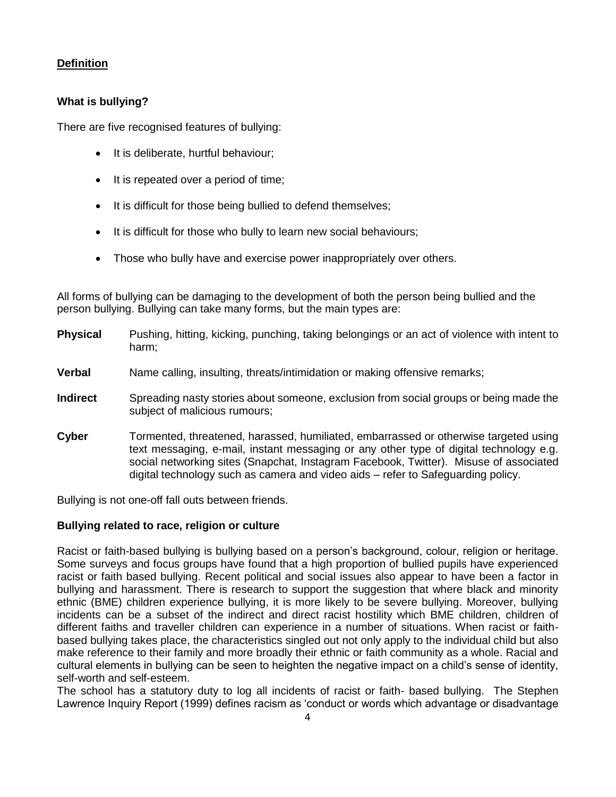# **Definition**

# **What is bullying?**

There are five recognised features of bullying:

- It is deliberate, hurtful behaviour;
- It is repeated over a period of time;
- It is difficult for those being bullied to defend themselves;
- It is difficult for those who bully to learn new social behaviours;
- Those who bully have and exercise power inappropriately over others.

All forms of bullying can be damaging to the development of both the person being bullied and the person bullying. Bullying can take many forms, but the main types are:

| <b>Physical</b> | Pushing, hitting, kicking, punching, taking belongings or an act of violence with intent to<br>harm;                                                                                                                                                                                                                                                        |  |
|-----------------|-------------------------------------------------------------------------------------------------------------------------------------------------------------------------------------------------------------------------------------------------------------------------------------------------------------------------------------------------------------|--|
| <b>Verbal</b>   | Name calling, insulting, threats/intimidation or making offensive remarks;                                                                                                                                                                                                                                                                                  |  |
| <b>Indirect</b> | Spreading nasty stories about someone, exclusion from social groups or being made the<br>subject of malicious rumours;                                                                                                                                                                                                                                      |  |
| Cyber           | Tormented, threatened, harassed, humiliated, embarrassed or otherwise targeted using<br>text messaging, e-mail, instant messaging or any other type of digital technology e.g.<br>social networking sites (Snapchat, Instagram Facebook, Twitter). Misuse of associated<br>digital technology such as camera and video aids - refer to Safeguarding policy. |  |

Bullying is not one-off fall outs between friends.

# **Bullying related to race, religion or culture**

Racist or faith-based bullying is bullying based on a person's background, colour, religion or heritage. Some surveys and focus groups have found that a high proportion of bullied pupils have experienced racist or faith based bullying. Recent political and social issues also appear to have been a factor in bullying and harassment. There is research to support the suggestion that where black and minority ethnic (BME) children experience bullying, it is more likely to be severe bullying. Moreover, bullying incidents can be a subset of the indirect and direct racist hostility which BME children, children of different faiths and traveller children can experience in a number of situations. When racist or faithbased bullying takes place, the characteristics singled out not only apply to the individual child but also make reference to their family and more broadly their ethnic or faith community as a whole. Racial and cultural elements in bullying can be seen to heighten the negative impact on a child's sense of identity, self-worth and self-esteem.

The school has a statutory duty to log all incidents of racist or faith- based bullying. The Stephen Lawrence Inquiry Report (1999) defines racism as 'conduct or words which advantage or disadvantage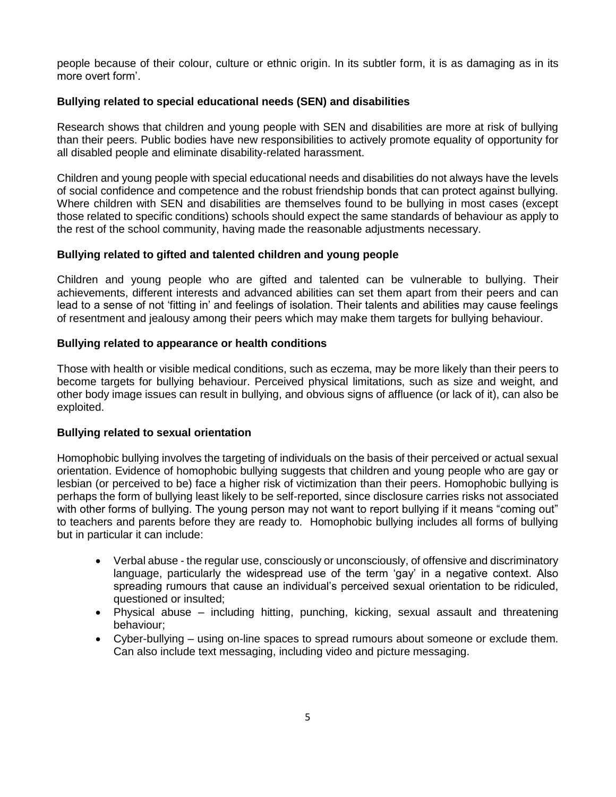people because of their colour, culture or ethnic origin. In its subtler form, it is as damaging as in its more overt form'.

#### **Bullying related to special educational needs (SEN) and disabilities**

Research shows that children and young people with SEN and disabilities are more at risk of bullying than their peers. Public bodies have new responsibilities to actively promote equality of opportunity for all disabled people and eliminate disability-related harassment.

Children and young people with special educational needs and disabilities do not always have the levels of social confidence and competence and the robust friendship bonds that can protect against bullying. Where children with SEN and disabilities are themselves found to be bullying in most cases (except those related to specific conditions) schools should expect the same standards of behaviour as apply to the rest of the school community, having made the reasonable adjustments necessary.

#### **Bullying related to gifted and talented children and young people**

Children and young people who are gifted and talented can be vulnerable to bullying. Their achievements, different interests and advanced abilities can set them apart from their peers and can lead to a sense of not 'fitting in' and feelings of isolation. Their talents and abilities may cause feelings of resentment and jealousy among their peers which may make them targets for bullying behaviour.

#### **Bullying related to appearance or health conditions**

Those with health or visible medical conditions, such as eczema, may be more likely than their peers to become targets for bullying behaviour. Perceived physical limitations, such as size and weight, and other body image issues can result in bullying, and obvious signs of affluence (or lack of it), can also be exploited.

#### **Bullying related to sexual orientation**

Homophobic bullying involves the targeting of individuals on the basis of their perceived or actual sexual orientation. Evidence of homophobic bullying suggests that children and young people who are gay or lesbian (or perceived to be) face a higher risk of victimization than their peers. Homophobic bullying is perhaps the form of bullying least likely to be self-reported, since disclosure carries risks not associated with other forms of bullying. The young person may not want to report bullying if it means "coming out" to teachers and parents before they are ready to. Homophobic bullying includes all forms of bullying but in particular it can include:

- Verbal abuse the regular use, consciously or unconsciously, of offensive and discriminatory language, particularly the widespread use of the term 'gay' in a negative context. Also spreading rumours that cause an individual's perceived sexual orientation to be ridiculed, questioned or insulted;
- Physical abuse including hitting, punching, kicking, sexual assault and threatening behaviour;
- Cyber-bullying using on-line spaces to spread rumours about someone or exclude them. Can also include text messaging, including video and picture messaging.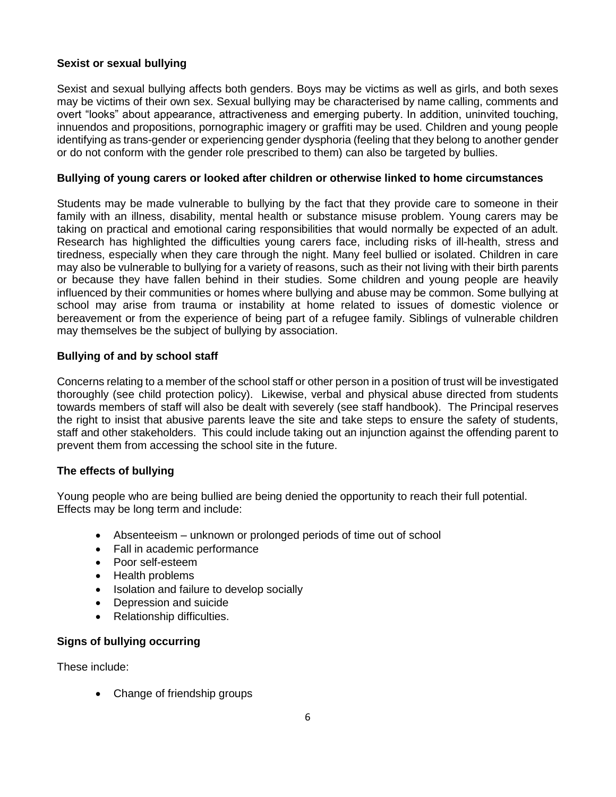#### **Sexist or sexual bullying**

Sexist and sexual bullying affects both genders. Boys may be victims as well as girls, and both sexes may be victims of their own sex. Sexual bullying may be characterised by name calling, comments and overt "looks" about appearance, attractiveness and emerging puberty. In addition, uninvited touching, innuendos and propositions, pornographic imagery or graffiti may be used. Children and young people identifying as trans-gender or experiencing gender dysphoria (feeling that they belong to another gender or do not conform with the gender role prescribed to them) can also be targeted by bullies.

#### **Bullying of young carers or looked after children or otherwise linked to home circumstances**

Students may be made vulnerable to bullying by the fact that they provide care to someone in their family with an illness, disability, mental health or substance misuse problem. Young carers may be taking on practical and emotional caring responsibilities that would normally be expected of an adult. Research has highlighted the difficulties young carers face, including risks of ill-health, stress and tiredness, especially when they care through the night. Many feel bullied or isolated. Children in care may also be vulnerable to bullying for a variety of reasons, such as their not living with their birth parents or because they have fallen behind in their studies. Some children and young people are heavily influenced by their communities or homes where bullying and abuse may be common. Some bullying at school may arise from trauma or instability at home related to issues of domestic violence or bereavement or from the experience of being part of a refugee family. Siblings of vulnerable children may themselves be the subject of bullying by association.

#### **Bullying of and by school staff**

Concerns relating to a member of the school staff or other person in a position of trust will be investigated thoroughly (see child protection policy). Likewise, verbal and physical abuse directed from students towards members of staff will also be dealt with severely (see staff handbook). The Principal reserves the right to insist that abusive parents leave the site and take steps to ensure the safety of students, staff and other stakeholders. This could include taking out an injunction against the offending parent to prevent them from accessing the school site in the future.

# **The effects of bullying**

Young people who are being bullied are being denied the opportunity to reach their full potential. Effects may be long term and include:

- Absenteeism unknown or prolonged periods of time out of school
- Fall in academic performance
- Poor self-esteem
- Health problems
- Isolation and failure to develop socially
- Depression and suicide
- Relationship difficulties.

# **Signs of bullying occurring**

These include:

• Change of friendship groups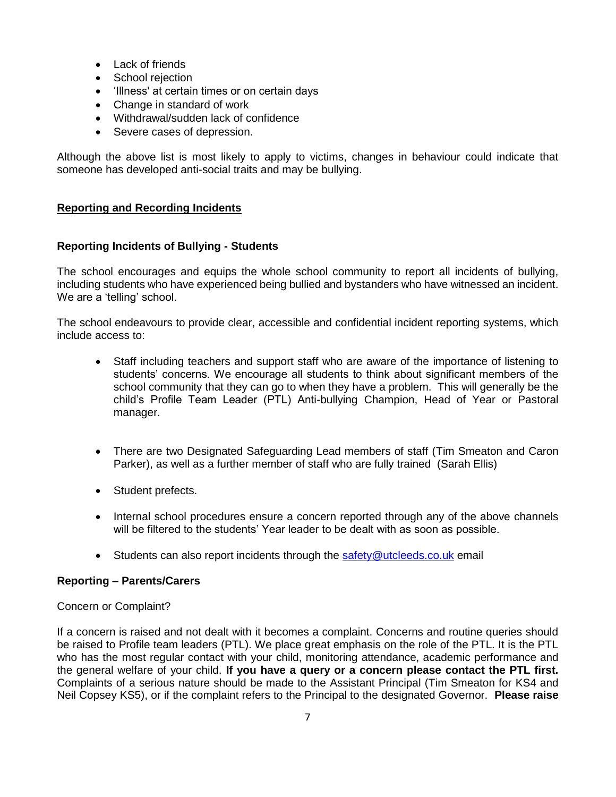- Lack of friends
- School rejection
- 'Illness' at certain times or on certain days
- Change in standard of work
- Withdrawal/sudden lack of confidence
- Severe cases of depression.

Although the above list is most likely to apply to victims, changes in behaviour could indicate that someone has developed anti-social traits and may be bullying.

#### **Reporting and Recording Incidents**

#### **Reporting Incidents of Bullying - Students**

The school encourages and equips the whole school community to report all incidents of bullying, including students who have experienced being bullied and bystanders who have witnessed an incident. We are a 'telling' school.

The school endeavours to provide clear, accessible and confidential incident reporting systems, which include access to:

- Staff including teachers and support staff who are aware of the importance of listening to students' concerns. We encourage all students to think about significant members of the school community that they can go to when they have a problem. This will generally be the child's Profile Team Leader (PTL) Anti-bullying Champion, Head of Year or Pastoral manager.
- There are two Designated Safeguarding Lead members of staff (Tim Smeaton and Caron Parker), as well as a further member of staff who are fully trained (Sarah Ellis)
- Student prefects.
- Internal school procedures ensure a concern reported through any of the above channels will be filtered to the students' Year leader to be dealt with as soon as possible.
- Students can also report incidents through the [safety@utcleeds.co.uk](mailto:safety@utcleeds.co.uk) email

#### **Reporting – Parents/Carers**

#### Concern or Complaint?

If a concern is raised and not dealt with it becomes a complaint. Concerns and routine queries should be raised to Profile team leaders (PTL). We place great emphasis on the role of the PTL. It is the PTL who has the most regular contact with your child, monitoring attendance, academic performance and the general welfare of your child. **If you have a query or a concern please contact the PTL first.**  Complaints of a serious nature should be made to the Assistant Principal (Tim Smeaton for KS4 and Neil Copsey KS5), or if the complaint refers to the Principal to the designated Governor. **Please raise**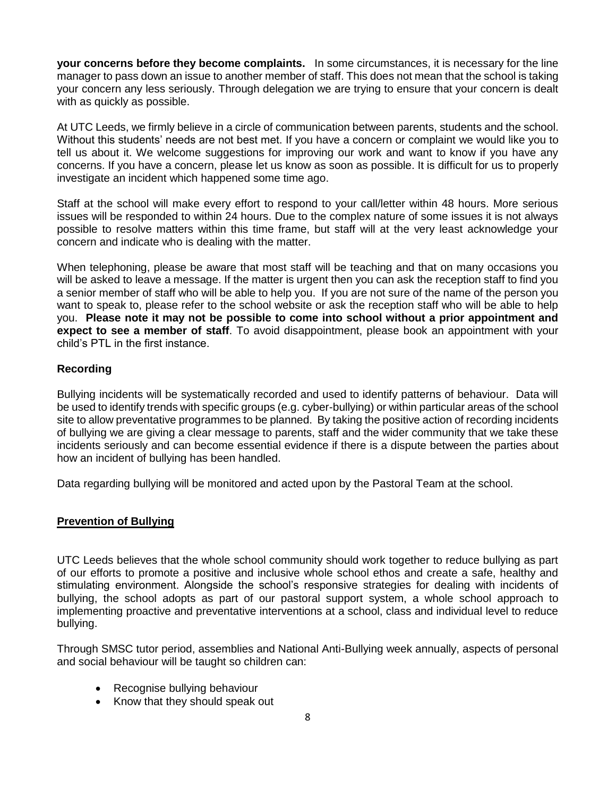**your concerns before they become complaints.** In some circumstances, it is necessary for the line manager to pass down an issue to another member of staff. This does not mean that the school is taking your concern any less seriously. Through delegation we are trying to ensure that your concern is dealt with as quickly as possible.

At UTC Leeds, we firmly believe in a circle of communication between parents, students and the school. Without this students' needs are not best met. If you have a concern or complaint we would like you to tell us about it. We welcome suggestions for improving our work and want to know if you have any concerns. If you have a concern, please let us know as soon as possible. It is difficult for us to properly investigate an incident which happened some time ago.

Staff at the school will make every effort to respond to your call/letter within 48 hours. More serious issues will be responded to within 24 hours. Due to the complex nature of some issues it is not always possible to resolve matters within this time frame, but staff will at the very least acknowledge your concern and indicate who is dealing with the matter.

When telephoning, please be aware that most staff will be teaching and that on many occasions you will be asked to leave a message. If the matter is urgent then you can ask the reception staff to find you a senior member of staff who will be able to help you. If you are not sure of the name of the person you want to speak to, please refer to the school website or ask the reception staff who will be able to help you. **Please note it may not be possible to come into school without a prior appointment and expect to see a member of staff**. To avoid disappointment, please book an appointment with your child's PTL in the first instance.

#### **Recording**

Bullying incidents will be systematically recorded and used to identify patterns of behaviour. Data will be used to identify trends with specific groups (e.g. cyber-bullying) or within particular areas of the school site to allow preventative programmes to be planned. By taking the positive action of recording incidents of bullying we are giving a clear message to parents, staff and the wider community that we take these incidents seriously and can become essential evidence if there is a dispute between the parties about how an incident of bullying has been handled.

Data regarding bullying will be monitored and acted upon by the Pastoral Team at the school.

#### **Prevention of Bullying**

UTC Leeds believes that the whole school community should work together to reduce bullying as part of our efforts to promote a positive and inclusive whole school ethos and create a safe, healthy and stimulating environment. Alongside the school's responsive strategies for dealing with incidents of bullying, the school adopts as part of our pastoral support system, a whole school approach to implementing proactive and preventative interventions at a school, class and individual level to reduce bullying.

Through SMSC tutor period, assemblies and National Anti-Bullying week annually, aspects of personal and social behaviour will be taught so children can:

- Recognise bullying behaviour
- Know that they should speak out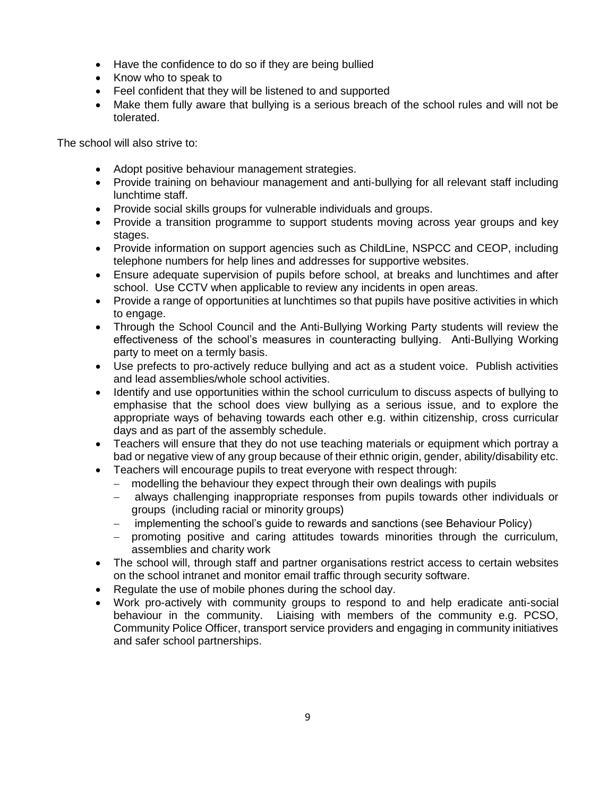- Have the confidence to do so if they are being bullied
- Know who to speak to
- Feel confident that they will be listened to and supported
- Make them fully aware that bullying is a serious breach of the school rules and will not be tolerated.

The school will also strive to:

- Adopt positive behaviour management strategies.
- Provide training on behaviour management and anti-bullying for all relevant staff including lunchtime staff.
- Provide social skills groups for vulnerable individuals and groups.
- Provide a transition programme to support students moving across year groups and key stages.
- Provide information on support agencies such as ChildLine, NSPCC and CEOP, including telephone numbers for help lines and addresses for supportive websites.
- Ensure adequate supervision of pupils before school, at breaks and lunchtimes and after school. Use CCTV when applicable to review any incidents in open areas.
- Provide a range of opportunities at lunchtimes so that pupils have positive activities in which to engage.
- Through the School Council and the Anti-Bullying Working Party students will review the effectiveness of the school's measures in counteracting bullying. Anti-Bullying Working party to meet on a termly basis.
- Use prefects to pro-actively reduce bullying and act as a student voice. Publish activities and lead assemblies/whole school activities.
- Identify and use opportunities within the school curriculum to discuss aspects of bullying to emphasise that the school does view bullying as a serious issue, and to explore the appropriate ways of behaving towards each other e.g. within citizenship, cross curricular days and as part of the assembly schedule.
- Teachers will ensure that they do not use teaching materials or equipment which portray a bad or negative view of any group because of their ethnic origin, gender, ability/disability etc.
- Teachers will encourage pupils to treat everyone with respect through:
	- modelling the behaviour they expect through their own dealings with pupils
	- always challenging inappropriate responses from pupils towards other individuals or groups (including racial or minority groups)
	- implementing the school's guide to rewards and sanctions (see Behaviour Policy)
	- promoting positive and caring attitudes towards minorities through the curriculum, assemblies and charity work
- The school will, through staff and partner organisations restrict access to certain websites on the school intranet and monitor email traffic through security software.
- Regulate the use of mobile phones during the school day.
- Work pro-actively with community groups to respond to and help eradicate anti-social behaviour in the community. Liaising with members of the community e.g. PCSO, Community Police Officer, transport service providers and engaging in community initiatives and safer school partnerships.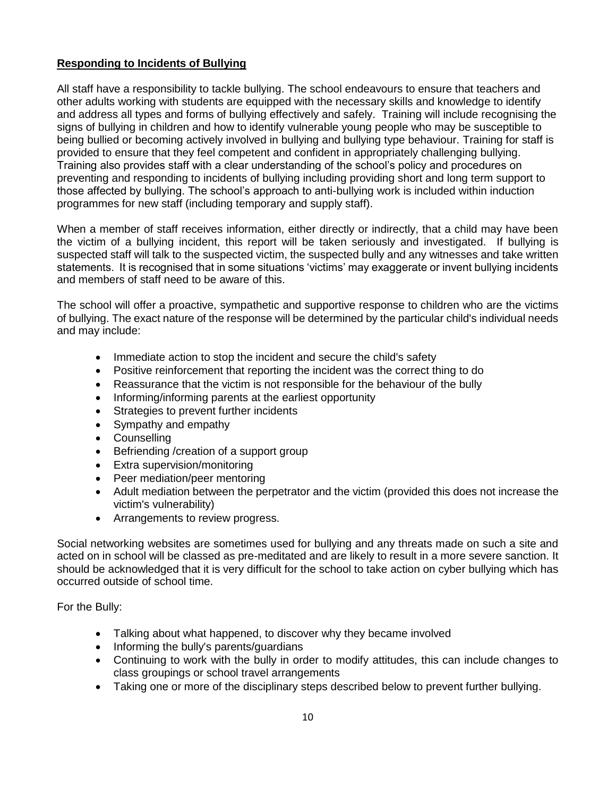# **Responding to Incidents of Bullying**

All staff have a responsibility to tackle bullying. The school endeavours to ensure that teachers and other adults working with students are equipped with the necessary skills and knowledge to identify and address all types and forms of bullying effectively and safely. Training will include recognising the signs of bullying in children and how to identify vulnerable young people who may be susceptible to being bullied or becoming actively involved in bullying and bullying type behaviour. Training for staff is provided to ensure that they feel competent and confident in appropriately challenging bullying. Training also provides staff with a clear understanding of the school's policy and procedures on preventing and responding to incidents of bullying including providing short and long term support to those affected by bullying. The school's approach to anti-bullying work is included within induction programmes for new staff (including temporary and supply staff).

When a member of staff receives information, either directly or indirectly, that a child may have been the victim of a bullying incident, this report will be taken seriously and investigated. If bullying is suspected staff will talk to the suspected victim, the suspected bully and any witnesses and take written statements. It is recognised that in some situations 'victims' may exaggerate or invent bullying incidents and members of staff need to be aware of this.

The school will offer a proactive, sympathetic and supportive response to children who are the victims of bullying. The exact nature of the response will be determined by the particular child's individual needs and may include:

- Immediate action to stop the incident and secure the child's safety
- Positive reinforcement that reporting the incident was the correct thing to do
- Reassurance that the victim is not responsible for the behaviour of the bully
- Informing/informing parents at the earliest opportunity
- Strategies to prevent further incidents
- Sympathy and empathy
- **•** Counselling
- Befriending / creation of a support group
- Extra supervision/monitoring
- Peer mediation/peer mentoring
- Adult mediation between the perpetrator and the victim (provided this does not increase the victim's vulnerability)
- Arrangements to review progress.

Social networking websites are sometimes used for bullying and any threats made on such a site and acted on in school will be classed as pre-meditated and are likely to result in a more severe sanction. It should be acknowledged that it is very difficult for the school to take action on cyber bullying which has occurred outside of school time.

For the Bully:

- Talking about what happened, to discover why they became involved
- Informing the bully's parents/guardians
- Continuing to work with the bully in order to modify attitudes, this can include changes to class groupings or school travel arrangements
- Taking one or more of the disciplinary steps described below to prevent further bullying.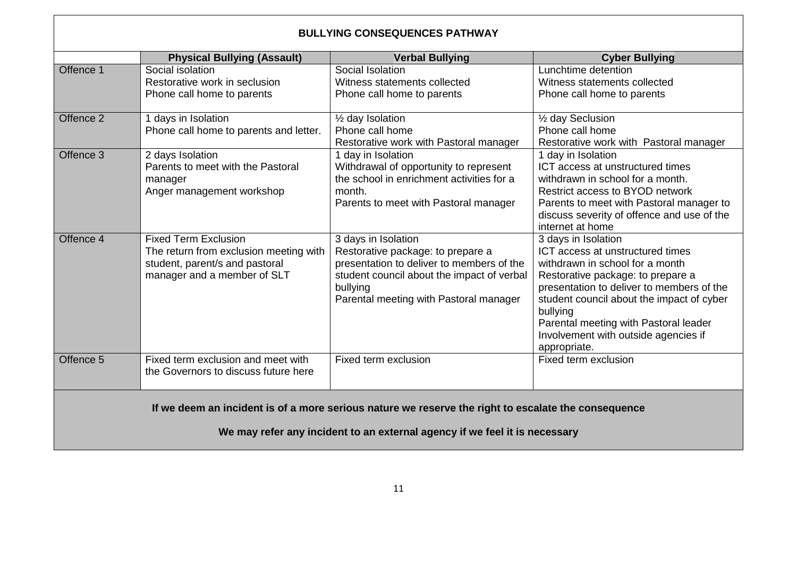| <b>BULLYING CONSEQUENCES PATHWAY</b>                                                                                                                                              |                                                                                                                                        |                                                                                                                                                                                                           |                                                                                                                                                                                                                                                                                                                                        |  |  |
|-----------------------------------------------------------------------------------------------------------------------------------------------------------------------------------|----------------------------------------------------------------------------------------------------------------------------------------|-----------------------------------------------------------------------------------------------------------------------------------------------------------------------------------------------------------|----------------------------------------------------------------------------------------------------------------------------------------------------------------------------------------------------------------------------------------------------------------------------------------------------------------------------------------|--|--|
|                                                                                                                                                                                   | <b>Physical Bullying (Assault)</b>                                                                                                     | <b>Verbal Bullying</b>                                                                                                                                                                                    | <b>Cyber Bullying</b>                                                                                                                                                                                                                                                                                                                  |  |  |
| Offence 1                                                                                                                                                                         | Social isolation<br>Restorative work in seclusion<br>Phone call home to parents                                                        | Social Isolation<br>Witness statements collected<br>Phone call home to parents                                                                                                                            | Lunchtime detention<br>Witness statements collected<br>Phone call home to parents                                                                                                                                                                                                                                                      |  |  |
| Offence <sub>2</sub>                                                                                                                                                              | 1 days in Isolation<br>Phone call home to parents and letter.                                                                          | 1/ <sub>2</sub> day Isolation<br>Phone call home<br>Restorative work with Pastoral manager                                                                                                                | 1/2 day Seclusion<br>Phone call home<br>Restorative work with Pastoral manager                                                                                                                                                                                                                                                         |  |  |
| Offence 3                                                                                                                                                                         | 2 days Isolation<br>Parents to meet with the Pastoral<br>manager<br>Anger management workshop                                          | 1 day in Isolation<br>Withdrawal of opportunity to represent<br>the school in enrichment activities for a<br>month.<br>Parents to meet with Pastoral manager                                              | 1 day in Isolation<br>ICT access at unstructured times<br>withdrawn in school for a month.<br>Restrict access to BYOD network<br>Parents to meet with Pastoral manager to<br>discuss severity of offence and use of the<br>internet at home                                                                                            |  |  |
| Offence 4                                                                                                                                                                         | <b>Fixed Term Exclusion</b><br>The return from exclusion meeting with<br>student, parent/s and pastoral<br>manager and a member of SLT | 3 days in Isolation<br>Restorative package: to prepare a<br>presentation to deliver to members of the<br>student council about the impact of verbal<br>bullying<br>Parental meeting with Pastoral manager | 3 days in Isolation<br>ICT access at unstructured times<br>withdrawn in school for a month<br>Restorative package: to prepare a<br>presentation to deliver to members of the<br>student council about the impact of cyber<br>bullying<br>Parental meeting with Pastoral leader<br>Involvement with outside agencies if<br>appropriate. |  |  |
| Offence 5                                                                                                                                                                         | Fixed term exclusion and meet with<br>the Governors to discuss future here                                                             | Fixed term exclusion                                                                                                                                                                                      | Fixed term exclusion                                                                                                                                                                                                                                                                                                                   |  |  |
| If we deem an incident is of a more serious nature we reserve the right to escalate the consequence<br>We may refer any incident to an external agency if we feel it is necessary |                                                                                                                                        |                                                                                                                                                                                                           |                                                                                                                                                                                                                                                                                                                                        |  |  |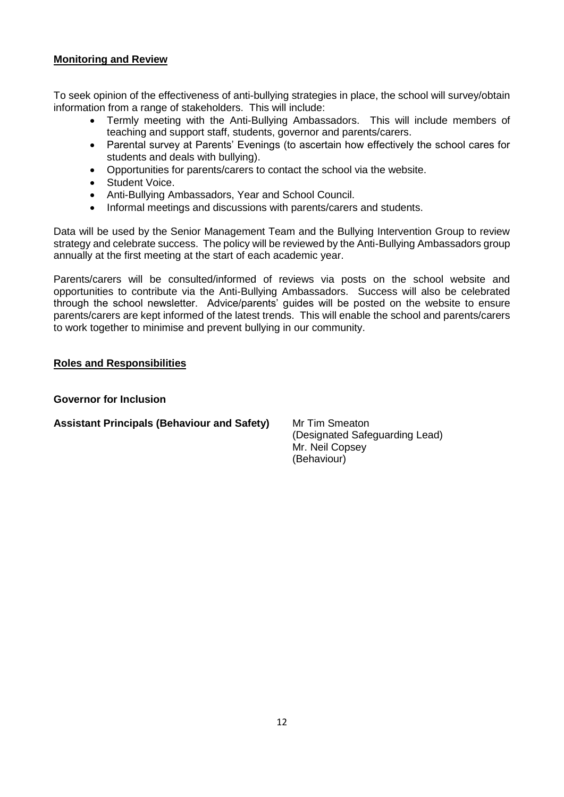# **Monitoring and Review**

To seek opinion of the effectiveness of anti-bullying strategies in place, the school will survey/obtain information from a range of stakeholders. This will include:

- Termly meeting with the Anti-Bullying Ambassadors. This will include members of teaching and support staff, students, governor and parents/carers.
- Parental survey at Parents' Evenings (to ascertain how effectively the school cares for students and deals with bullying).
- Opportunities for parents/carers to contact the school via the website.
- Student Voice.
- Anti-Bullying Ambassadors, Year and School Council.
- Informal meetings and discussions with parents/carers and students.

Data will be used by the Senior Management Team and the Bullying Intervention Group to review strategy and celebrate success. The policy will be reviewed by the Anti-Bullying Ambassadors group annually at the first meeting at the start of each academic year.

Parents/carers will be consulted/informed of reviews via posts on the school website and opportunities to contribute via the Anti-Bullying Ambassadors. Success will also be celebrated through the school newsletter. Advice/parents' guides will be posted on the website to ensure parents/carers are kept informed of the latest trends. This will enable the school and parents/carers to work together to minimise and prevent bullying in our community.

# **Roles and Responsibilities**

#### **Governor for Inclusion**

# **Assistant Principals (Behaviour and Safety)** Mr Tim Smeaton

(Designated Safeguarding Lead) Mr. Neil Copsey (Behaviour)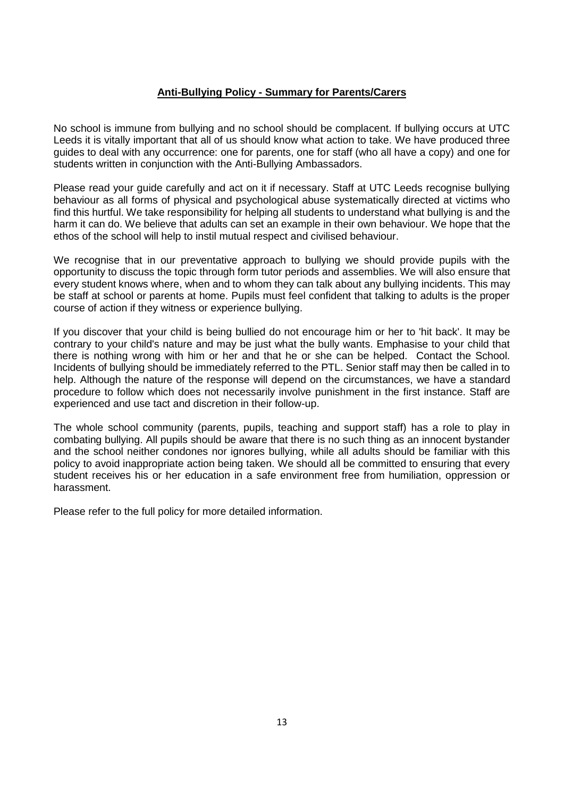# **Anti-Bullying Policy - Summary for Parents/Carers**

No school is immune from bullying and no school should be complacent. If bullying occurs at UTC Leeds it is vitally important that all of us should know what action to take. We have produced three guides to deal with any occurrence: one for parents, one for staff (who all have a copy) and one for students written in conjunction with the Anti-Bullying Ambassadors.

Please read your guide carefully and act on it if necessary. Staff at UTC Leeds recognise bullying behaviour as all forms of physical and psychological abuse systematically directed at victims who find this hurtful. We take responsibility for helping all students to understand what bullying is and the harm it can do. We believe that adults can set an example in their own behaviour. We hope that the ethos of the school will help to instil mutual respect and civilised behaviour.

We recognise that in our preventative approach to bullying we should provide pupils with the opportunity to discuss the topic through form tutor periods and assemblies. We will also ensure that every student knows where, when and to whom they can talk about any bullying incidents. This may be staff at school or parents at home. Pupils must feel confident that talking to adults is the proper course of action if they witness or experience bullying.

If you discover that your child is being bullied do not encourage him or her to 'hit back'. It may be contrary to your child's nature and may be just what the bully wants. Emphasise to your child that there is nothing wrong with him or her and that he or she can be helped. Contact the School. Incidents of bullying should be immediately referred to the PTL. Senior staff may then be called in to help. Although the nature of the response will depend on the circumstances, we have a standard procedure to follow which does not necessarily involve punishment in the first instance. Staff are experienced and use tact and discretion in their follow-up.

The whole school community (parents, pupils, teaching and support staff) has a role to play in combating bullying. All pupils should be aware that there is no such thing as an innocent bystander and the school neither condones nor ignores bullying, while all adults should be familiar with this policy to avoid inappropriate action being taken. We should all be committed to ensuring that every student receives his or her education in a safe environment free from humiliation, oppression or harassment.

Please refer to the full policy for more detailed information.